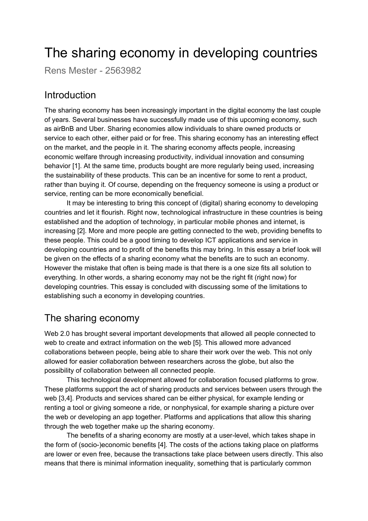# The sharing economy in developing countries

Rens Mester - 2563982

#### Introduction

The sharing economy has been increasingly important in the digital economy the last couple of years. Several businesses have successfully made use of this upcoming economy, such as airBnB and Uber. Sharing economies allow individuals to share owned products or service to each other, either paid or for free. This sharing economy has an interesting effect on the market, and the people in it. The sharing economy affects people, increasing economic welfare through increasing productivity, individual innovation and consuming behavior [1]. At the same time, products bought are more regularly being used, increasing the sustainability of these products. This can be an incentive for some to rent a product, rather than buying it. Of course, depending on the frequency someone is using a product or service, renting can be more economically beneficial.

It may be interesting to bring this concept of (digital) sharing economy to developing countries and let it flourish. Right now, technological infrastructure in these countries is being established and the adoption of technology, in particular mobile phones and internet, is increasing [2]. More and more people are getting connected to the web, providing benefits to these people. This could be a good timing to develop ICT applications and service in developing countries and to profit of the benefits this may bring. In this essay a brief look will be given on the effects of a sharing economy what the benefits are to such an economy. However the mistake that often is being made is that there is a one size fits all solution to everything. In other words, a sharing economy may not be the right fit (right now) for developing countries. This essay is concluded with discussing some of the limitations to establishing such a economy in developing countries.

### The sharing economy

Web 2.0 has brought several important developments that allowed all people connected to web to create and extract information on the web [5]. This allowed more advanced collaborations between people, being able to share their work over the web. This not only allowed for easier collaboration between researchers across the globe, but also the possibility of collaboration between all connected people.

This technological development allowed for collaboration focused platforms to grow. These platforms support the act of sharing products and services between users through the web [3,4]. Products and services shared can be either physical, for example lending or renting a tool or giving someone a ride, or nonphysical, for example sharing a picture over the web or developing an app together. Platforms and applications that allow this sharing through the web together make up the sharing economy.

The benefits of a sharing economy are mostly at a user-level, which takes shape in the form of (socio-)economic benefits [4]. The costs of the actions taking place on platforms are lower or even free, because the transactions take place between users directly. This also means that there is minimal information inequality, something that is particularly common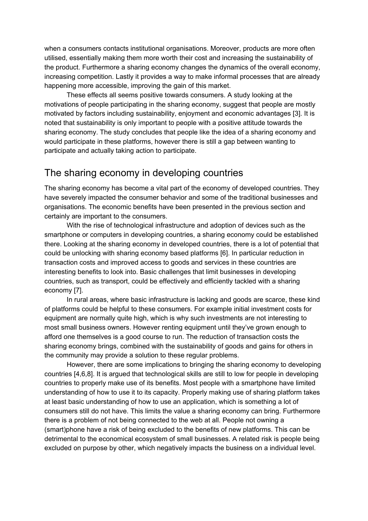when a consumers contacts institutional organisations. Moreover, products are more often utilised, essentially making them more worth their cost and increasing the sustainability of the product. Furthermore a sharing economy changes the dynamics of the overall economy, increasing competition. Lastly it provides a way to make informal processes that are already happening more accessible, improving the gain of this market.

These effects all seems positive towards consumers. A study looking at the motivations of people participating in the sharing economy, suggest that people are mostly motivated by factors including sustainability, enjoyment and economic advantages [3]. It is noted that sustainability is only important to people with a positive attitude towards the sharing economy. The study concludes that people like the idea of a sharing economy and would participate in these platforms, however there is still a gap between wanting to participate and actually taking action to participate.

#### The sharing economy in developing countries

The sharing economy has become a vital part of the economy of developed countries. They have severely impacted the consumer behavior and some of the traditional businesses and organisations. The economic benefits have been presented in the previous section and certainly are important to the consumers.

With the rise of technological infrastructure and adoption of devices such as the smartphone or computers in developing countries, a sharing economy could be established there. Looking at the sharing economy in developed countries, there is a lot of potential that could be unlocking with sharing economy based platforms [6]. In particular reduction in transaction costs and improved access to goods and services in these countries are interesting benefits to look into. Basic challenges that limit businesses in developing countries, such as transport, could be effectively and efficiently tackled with a sharing economy [7].

In rural areas, where basic infrastructure is lacking and goods are scarce, these kind of platforms could be helpful to these consumers. For example initial investment costs for equipment are normally quite high, which is why such investments are not interesting to most small business owners. However renting equipment until they've grown enough to afford one themselves is a good course to run. The reduction of transaction costs the sharing economy brings, combined with the sustainability of goods and gains for others in the community may provide a solution to these regular problems.

However, there are some implications to bringing the sharing economy to developing countries [4,6,8]. It is argued that technological skills are still to low for people in developing countries to properly make use of its benefits. Most people with a smartphone have limited understanding of how to use it to its capacity. Properly making use of sharing platform takes at least basic understanding of how to use an application, which is something a lot of consumers still do not have. This limits the value a sharing economy can bring. Furthermore there is a problem of not being connected to the web at all. People not owning a (smart)phone have a risk of being excluded to the benefits of new platforms. This can be detrimental to the economical ecosystem of small businesses. A related risk is people being excluded on purpose by other, which negatively impacts the business on a individual level.